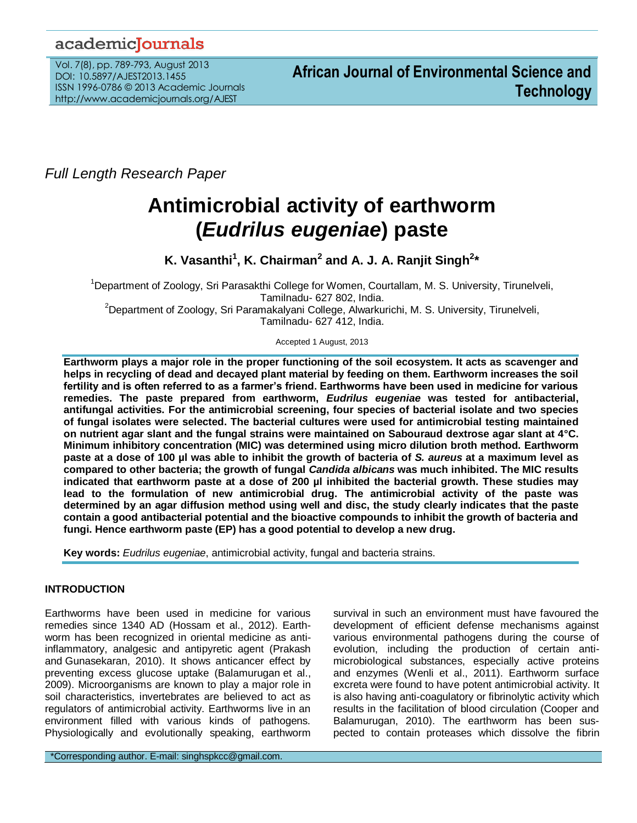## academicJournals

Vol. 7(8), pp. 789-793, August 2013 DOI: 10.5897/AJEST2013.1455 ISSN 1996-0786 © 2013 Academic Journals http://www.academicjournals.org/AJEST

*Full Length Research Paper*

# **Antimicrobial activity of earthworm (***Eudrilus eugeniae***) paste**

**K. Vasanthi<sup>1</sup> , K. Chairman<sup>2</sup> and A. J. A. Ranjit Singh<sup>2</sup> \***

<sup>1</sup>Department of Zoology, Sri Parasakthi College for Women, Courtallam, M. S. University, Tirunelveli, Tamilnadu- 627 802, India. <sup>2</sup>Department of Zoology, Sri Paramakalyani College, Alwarkurichi, M. S. University, Tirunelveli, Tamilnadu- 627 412, India.

Accepted 1 August, 2013

**Earthworm plays a major role in the proper functioning of the soil ecosystem. It acts as scavenger and helps in recycling of dead and decayed plant material by feeding on them. Earthworm increases the soil fertility and is often referred to as a farmer's friend. Earthworms have been used in medicine for various remedies. The paste prepared from earthworm,** *Eudrilus eugeniae* **was tested for antibacterial, antifungal activities. For the antimicrobial screening, four species of bacterial isolate and two species of fungal isolates were selected. The bacterial cultures were used for antimicrobial testing maintained on nutrient agar slant and the fungal strains were maintained on Sabouraud dextrose agar slant at 4°C. Minimum inhibitory concentration (MIC) was determined using micro dilution broth method. Earthworm paste at a dose of 100 µl was able to inhibit the growth of bacteria of** *S. aureus* **at a maximum level as compared to other bacteria; the growth of fungal** *Candida albicans* **was much inhibited. The MIC results indicated that earthworm paste at a dose of 200 µl inhibited the bacterial growth. These studies may lead to the formulation of new antimicrobial drug. The antimicrobial activity of the paste was determined by an agar diffusion method using well and disc, the study clearly indicates that the paste contain a good antibacterial potential and the bioactive compounds to inhibit the growth of bacteria and fungi. Hence earthworm paste (EP) has a good potential to develop a new drug.**

**Key words:** *Eudrilus eugeniae*, antimicrobial activity, fungal and bacteria strains.

## **INTRODUCTION**

Earthworms have been used in medicine for various remedies since 1340 AD (Hossam et al., 2012). Earthworm has been recognized in oriental medicine as antiinflammatory, analgesic and antipyretic agent [\(Prakash](http://www.ncbi.nlm.nih.gov/pubmed?term=Prakash%20M%5BAuthor%5D&cauthor=true&cauthor_uid=20391954)  and [Gunasekaran,](http://www.ncbi.nlm.nih.gov/pubmed?term=Gunasekaran%20G%5BAuthor%5D&cauthor=true&cauthor_uid=20391954) 2010). It shows anticancer effect by preventing excess glucose uptake (Balamurugan et al., 2009). Microorganisms are known to play a major role in soil characteristics, invertebrates are believed to act as regulators of antimicrobial activity. Earthworms live in an environment filled with various kinds of pathogens. Physiologically and evolutionally speaking, earthworm

\*Corresponding author. E-mail: singhspkcc@gmail.com.

survival in such an environment must have favoured the development of efficient defense mechanisms against various environmental pathogens during the course of evolution, including the production of certain antimicrobiological substances, especially active proteins and enzymes (Wenli et al., 2011). Earthworm surface excreta were found to have potent antimicrobial activity. It is also having anti-coagulatory or fibrinolytic activity which results in the facilitation of blood circulation (Cooper and Balamurugan, 2010). The earthworm has been suspected to contain proteases which dissolve the fibrin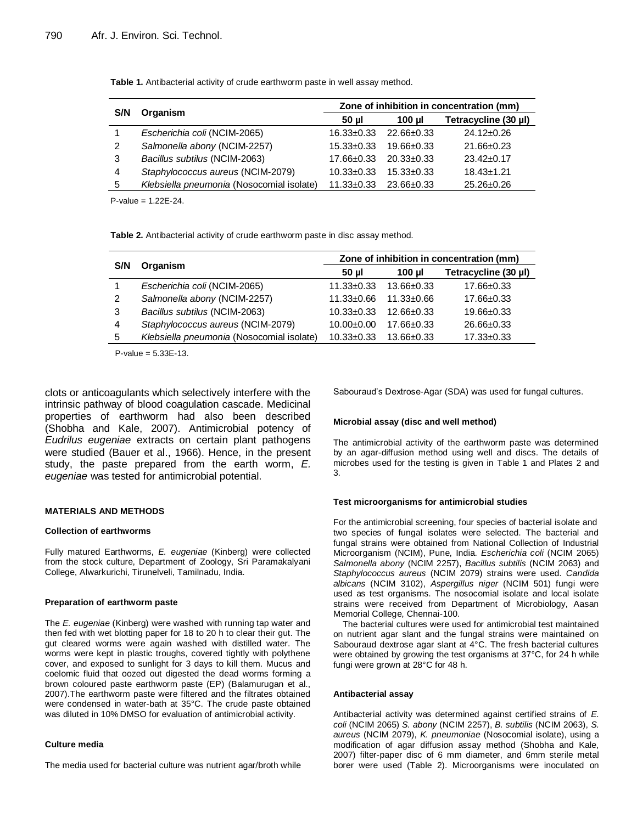| S/N | Organism                                  | Zone of inhibition in concentration (mm) |                  |                      |
|-----|-------------------------------------------|------------------------------------------|------------------|----------------------|
|     |                                           | 50 ul                                    | 100 ul           | Tetracycline (30 µl) |
|     | Escherichia coli (NCIM-2065)              | $16.33 \pm 0.33$                         | $22.66 \pm 0.33$ | $24.12 \pm 0.26$     |
| 2   | Salmonella abony (NCIM-2257)              | $15.33 \pm 0.33$                         | $19.66 + 0.33$   | $21.66 \pm 0.23$     |
| 3   | Bacillus subtilus (NCIM-2063)             | $17.66 \pm 0.33$                         | $20.33 + 0.33$   | $23.42 \pm 0.17$     |
| 4   | Staphylococcus aureus (NCIM-2079)         | $10.33 \pm 0.33$                         | $15.33 \pm 0.33$ | $18.43 \pm 1.21$     |
| 5   | Klebsiella pneumonia (Nosocomial isolate) | $11.33 \pm 0.33$                         | 23.66±0.33       | $25.26 \pm 0.26$     |

Table 1. Antibacterial activity of crude earthworm paste in well assay method.

P-value = 1.22E-24.

**Table 2.** Antibacterial activity of crude earthworm paste in disc assay method.

| S/N | Organism                                  | Zone of inhibition in concentration (mm) |                  |                      |
|-----|-------------------------------------------|------------------------------------------|------------------|----------------------|
|     |                                           | 50 ul                                    | 100 ul           | Tetracycline (30 µl) |
|     | Escherichia coli (NCIM-2065)              | $11.33 \pm 0.33$                         | $13.66 \pm 0.33$ | 17.66±0.33           |
| 2   | Salmonella abony (NCIM-2257)              | $11.33 \pm 0.66$                         | $11.33 + 0.66$   | 17.66±0.33           |
| 3   | Bacillus subtilus (NCIM-2063)             | $10.33 \pm 0.33$                         | 12.66±0.33       | $19.66 \pm 0.33$     |
| 4   | Staphylococcus aureus (NCIM-2079)         | $10.00+0.00$                             | $17.66 + 0.33$   | $26.66 \pm 0.33$     |
| -5  | Klebsiella pneumonia (Nosocomial isolate) | $10.33 \pm 0.33$                         | 13.66±0.33       | $17.33 \pm 0.33$     |

P-value = 5.33E-13.

clots or anticoagulants which selectively interfere with the intrinsic pathway of blood coagulation cascade. Medicinal properties of earthworm had also been described (Shobha and Kale, 2007). Antimicrobial potency of *Eudrilus eugeniae* extracts on certain plant pathogens were studied (Bauer et al., 1966). Hence, in the present study, the paste prepared from the earth worm, *E. eugeniae* was tested for antimicrobial potential.

#### **MATERIALS AND METHODS**

#### **Collection of earthworms**

Fully matured Earthworms, *E. eugeniae* (Kinberg) were collected from the stock culture, Department of Zoology, Sri Paramakalyani College, Alwarkurichi, Tirunelveli, Tamilnadu, India.

#### **Preparation of earthworm paste**

The *E. eugeniae* (Kinberg) were washed with running tap water and then fed with wet blotting paper for 18 to 20 h to clear their gut. The gut cleared worms were again washed with distilled water. The worms were kept in plastic troughs, covered tightly with polythene cover, and exposed to sunlight for 3 days to kill them. Mucus and coelomic fluid that oozed out digested the dead worms forming a brown coloured paste earthworm paste (EP) (Balamurugan et al., 2007).The earthworm paste were filtered and the filtrates obtained were condensed in water-bath at 35°C. The crude paste obtained was diluted in 10% DMSO for evaluation of antimicrobial activity.

#### **Culture media**

The media used for bacterial culture was nutrient agar/broth while

Sabouraud's Dextrose-Agar (SDA) was used for fungal cultures.

#### **Microbial assay (disc and well method)**

The antimicrobial activity of the earthworm paste was determined by an agar-diffusion method using well and discs. The details of microbes used for the testing is given in Table 1 and Plates 2 and 3.

#### **Test microorganisms for antimicrobial studies**

For the antimicrobial screening, four species of bacterial isolate and two species of fungal isolates were selected. The bacterial and fungal strains were obtained from National Collection of Industrial Microorganism (NCIM), Pune, India. *Escherichia coli* (NCIM 2065) *Salmonella abony* (NCIM 2257), *Bacillus subtilis* (NCIM 2063) and *Staphylococcus aureus* (NCIM 2079) strains were used. *Candida albicans* (NCIM 3102), *Aspergillus niger* (NCIM 501) fungi were used as test organisms. The nosocomial isolate and local isolate strains were received from Department of Microbiology, Aasan Memorial College, Chennai-100.

The bacterial cultures were used for antimicrobial test maintained on nutrient agar slant and the fungal strains were maintained on Sabouraud dextrose agar slant at 4°C. The fresh bacterial cultures were obtained by growing the test organisms at 37°C, for 24 h while fungi were grown at 28°C for 48 h.

#### **Antibacterial assay**

Antibacterial activity was determined against certified strains of *E. coli* (NCIM 2065) *S. abony* (NCIM 2257), *B. subtilis* (NCIM 2063), *S. aureus* (NCIM 2079), *K. pneumoniae* (Nosocomial isolate), using a modification of agar diffusion assay method (Shobha and Kale, 2007) filter-paper disc of 6 mm diameter, and 6mm sterile metal borer were used (Table 2). Microorganisms were inoculated on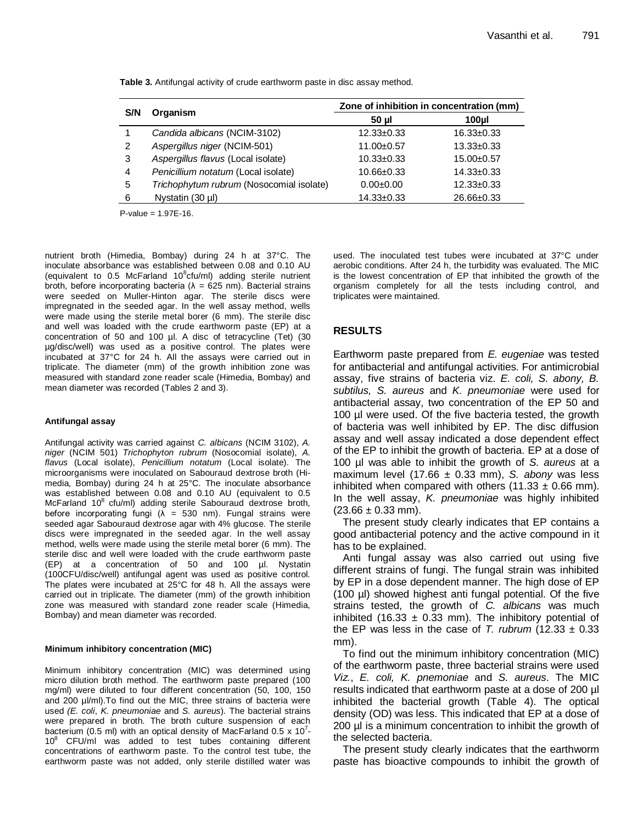| S/N | Organism                                 | Zone of inhibition in concentration (mm) |                  |  |
|-----|------------------------------------------|------------------------------------------|------------------|--|
|     |                                          | 50 ul                                    | 100 <sub>U</sub> |  |
|     | Candida albicans (NCIM-3102)             | $12.33 \pm 0.33$                         | $16.33 \pm 0.33$ |  |
| 2   | Aspergillus niger (NCIM-501)             | $11.00 \pm 0.57$                         | $13.33 \pm 0.33$ |  |
| 3   | Aspergillus flavus (Local isolate)       | $10.33 \pm 0.33$                         | $15.00 \pm 0.57$ |  |
| 4   | Penicillium notatum (Local isolate)      | $10.66 \pm 0.33$                         | $14.33 \pm 0.33$ |  |
| 5   | Trichophytum rubrum (Nosocomial isolate) | $0.00 + 0.00$                            | $12.33 \pm 0.33$ |  |
| 6   | Nystatin (30 µl)                         | $14.33 \pm 0.33$                         | 26.66±0.33       |  |
|     |                                          |                                          |                  |  |

**Table 3.** Antifungal activity of crude earthworm paste in disc assay method.

P-value = 1.97E-16.

nutrient broth (Himedia, Bombay) during 24 h at 37°C. The inoculate absorbance was established between 0.08 and 0.10 AU (equivalent to 0.5 McFarland  $10^8$ cfu/ml) adding sterile nutrient broth, before incorporating bacteria ( $\lambda = 625$  nm). Bacterial strains were seeded on Muller-Hinton agar. The sterile discs were impregnated in the seeded agar. In the well assay method, wells were made using the sterile metal borer (6 mm). The sterile disc and well was loaded with the crude earthworm paste (EP) at a concentration of 50 and 100 µl. A disc of tetracycline (Tet) (30 µg/disc/well) was used as a positive control. The plates were incubated at 37°C for 24 h. All the assays were carried out in triplicate. The diameter (mm) of the growth inhibition zone was measured with standard zone reader scale (Himedia, Bombay) and mean diameter was recorded (Tables 2 and 3).

#### **Antifungal assay**

Antifungal activity was carried against *C. albicans* (NCIM 3102), *A. niger* (NCIM 501) *Trichophyton rubrum* (Nosocomial isolate), *A. flavus* (Local isolate), *Penicillium notatum* (Local isolate). The microorganisms were inoculated on Sabouraud dextrose broth (Himedia, Bombay) during 24 h at 25°C. The inoculate absorbance was established between 0.08 and 0.10 AU (equivalent to 0.5 McFarland 10<sup>8</sup> cfu/ml) adding sterile Sabouraud dextrose broth, before incorporating fungi ( $\lambda$  = 530 nm). Fungal strains were seeded agar Sabouraud dextrose agar with 4% glucose. The sterile discs were impregnated in the seeded agar. In the well assay method, wells were made using the sterile metal borer (6 mm). The sterile disc and well were loaded with the crude earthworm paste (EP) at a concentration of 50 and 100 µl. Nystatin (100CFU/disc/well) antifungal agent was used as positive control. The plates were incubated at 25°C for 48 h. All the assays were carried out in triplicate. The diameter (mm) of the growth inhibition zone was measured with standard zone reader scale (Himedia, Bombay) and mean diameter was recorded.

### **Minimum inhibitory concentration (MIC)**

Minimum inhibitory concentration (MIC) was determined using micro dilution broth method. The earthworm paste prepared (100 mg/ml) were diluted to four different concentration (50, 100, 150 and 200 µl/ml).To find out the MIC, three strains of bacteria were used *(E. coli*, *K. pneumoniae* and *S. aureus*)*.* The bacterial strains were prepared in broth. The broth culture suspension of each bacterium (0.5 ml) with an optical density of MacFarland 0.5 x 10<sup>7</sup>-10<sup>8</sup> CFU/ml was added to test tubes containing different concentrations of earthworm paste. To the control test tube, the earthworm paste was not added, only sterile distilled water was used. The inoculated test tubes were incubated at 37°C under aerobic conditions. After 24 h, the turbidity was evaluated. The MIC is the lowest concentration of EP that inhibited the growth of the organism completely for all the tests including control, and triplicates were maintained.

## **RESULTS**

Earthworm paste prepared from *E. eugeniae* was tested for antibacterial and antifungal activities. For antimicrobial assay, five strains of bacteria viz. *E. coli, S. abony, B. subtilus, S. aureus* and *K. pneumoniae* were used for antibacterial assay, two concentration of the EP 50 and 100 µl were used. Of the five bacteria tested, the growth of bacteria was well inhibited by EP. The disc diffusion assay and well assay indicated a dose dependent effect of the EP to inhibit the growth of bacteria. EP at a dose of 100 µl was able to inhibit the growth of *S. aureus* at a maximum level (17.66 ± 0.33 mm), *S. abony* was less inhibited when compared with others  $(11.33 \pm 0.66 \text{ mm})$ . In the well assay, *K. pneumoniae* was highly inhibited  $(23.66 \pm 0.33 \text{ mm})$ .

The present study clearly indicates that EP contains a good antibacterial potency and the active compound in it has to be explained.

Anti fungal assay was also carried out using five different strains of fungi. The fungal strain was inhibited by EP in a dose dependent manner. The high dose of EP (100 µl) showed highest anti fungal potential. Of the five strains tested, the growth of *C. albicans* was much inhibited (16.33  $\pm$  0.33 mm). The inhibitory potential of the EP was less in the case of *T. rubrum*  $(12.33 \pm 0.33)$ mm).

To find out the minimum inhibitory concentration (MIC) of the earthworm paste, three bacterial strains were used *Viz.*, *E. coli, K. pnemoniae* and *S. aureus*. The MIC results indicated that earthworm paste at a dose of 200 µl inhibited the bacterial growth (Table 4). The optical density (OD) was less. This indicated that EP at a dose of 200 µl is a minimum concentration to inhibit the growth of the selected bacteria.

The present study clearly indicates that the earthworm paste has bioactive compounds to inhibit the growth of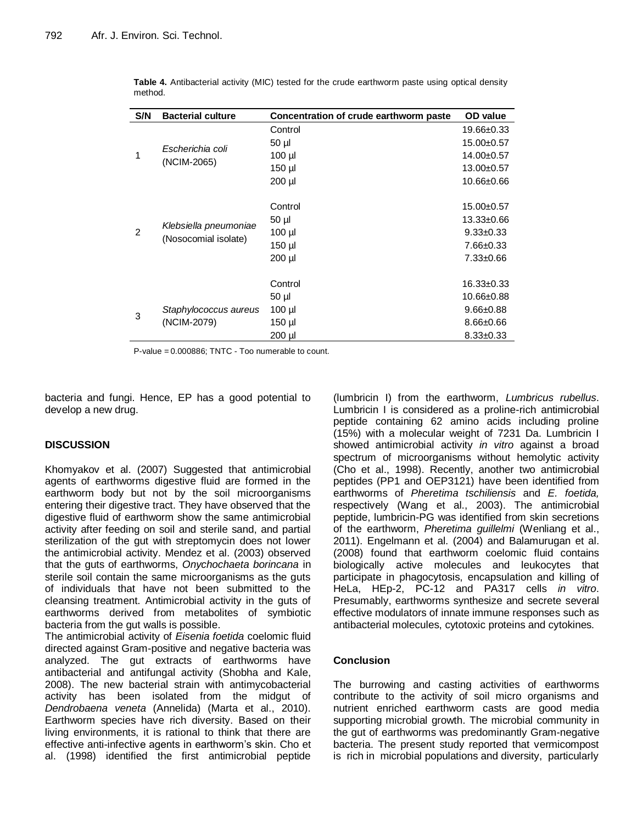| S/N            | <b>Bacterial culture</b>                      | Concentration of crude earthworm paste | OD value         |
|----------------|-----------------------------------------------|----------------------------------------|------------------|
| $\mathbf{1}$   | Escherichia coli<br>(NCIM-2065)               | Control                                | 19.66±0.33       |
|                |                                               | 50 µl                                  | 15.00±0.57       |
|                |                                               | $100$ µl                               | 14.00±0.57       |
|                |                                               | 150 µl                                 | 13.00±0.57       |
|                |                                               | $200$ µl                               | 10.66±0.66       |
|                |                                               |                                        |                  |
| $\overline{2}$ | Klebsiella pneumoniae<br>(Nosocomial isolate) | Control                                | 15.00±0.57       |
|                |                                               | $50$ µ                                 | 13.33±0.66       |
|                |                                               | $100$ $\mu$                            | $9.33 + 0.33$    |
|                |                                               | 150 µl                                 | $7.66 \pm 0.33$  |
|                |                                               | 200 µl                                 | $7.33 \pm 0.66$  |
|                |                                               |                                        |                  |
|                |                                               | Control                                | $16.33 \pm 0.33$ |
| 3              | Staphylococcus aureus<br>(NCIM-2079)          | 50 µl                                  | 10.66±0.88       |
|                |                                               | $100$ $\mu$                            | $9.66 + 0.88$    |
|                |                                               | 150 µl                                 | $8.66 + 0.66$    |
|                |                                               | 200 µl                                 | $8.33 + 0.33$    |

**Table 4.** Antibacterial activity (MIC) tested for the crude earthworm paste using optical density method.

P-value = 0.000886; TNTC - Too numerable to count.

bacteria and fungi. Hence, EP has a good potential to develop a new drug.

## **DISCUSSION**

Khomyakov et al. (2007) Suggested that antimicrobial agents of earthworms digestive fluid are formed in the earthworm body but not by the soil microorganisms entering their digestive tract. They have observed that the digestive fluid of earthworm show the same antimicrobial activity after feeding on soil and sterile sand, and partial sterilization of the gut with streptomycin does not lower the antimicrobial activity. Mendez et al. (2003) observed that the guts of earthworms, *Onychochaeta borincana* in sterile soil contain the same microorganisms as the guts of individuals that have not been submitted to the cleansing treatment. Antimicrobial activity in the guts of earthworms derived from metabolites of symbiotic bacteria from the gut walls is possible.

The antimicrobial activity of *Eisenia foetida* coelomic fluid directed against Gram-positive and negative bacteria was analyzed. The gut extracts of earthworms have antibacterial and antifungal activity (Shobha and Kale, 2008). The new bacterial strain with antimycobacterial activity has been isolated from the midgut of *Dendrobaena veneta* (Annelida) (Marta et al., 2010). Earthworm species have rich diversity. Based on their living environments, it is rational to think that there are effective anti-infective agents in earthworm's skin. Cho et al. (1998) identified the first antimicrobial peptide

(lumbricin I) from the earthworm, *Lumbricus rubellus*. Lumbricin I is considered as a proline-rich antimicrobial peptide containing 62 amino acids including proline (15%) with a molecular weight of 7231 Da. Lumbricin I showed antimicrobial activity *in vitro* against a broad spectrum of microorganisms without hemolytic activity (Cho et al., 1998). Recently, another two antimicrobial peptides (PP1 and OEP3121) have been identified from earthworms of *Pheretima tschiliensis* and *E. foetida,* respectively (Wang et al., 2003). The antimicrobial peptide, lumbricin-PG was identified from skin secretions of the earthworm, *Pheretima guillelmi* (Wenliang et al., 2011). Engelmann et al. (2004) and Balamurugan et al. (2008) found that earthworm coelomic fluid contains biologically active molecules and leukocytes that participate in phagocytosis, encapsulation and killing of HeLa, HEp-2, PC-12 and PA317 cells *in vitro*. Presumably, earthworms synthesize and secrete several effective modulators of innate immune responses such as antibacterial molecules, cytotoxic proteins and cytokines.

## **Conclusion**

The burrowing and casting activities of earthworms contribute to the activity of soil micro organisms and nutrient enriched earthworm casts are good media supporting microbial growth. The microbial community in the gut of earthworms was predominantly Gram-negative bacteria. The present study reported that vermicompost is rich in microbial populations and diversity, particularly